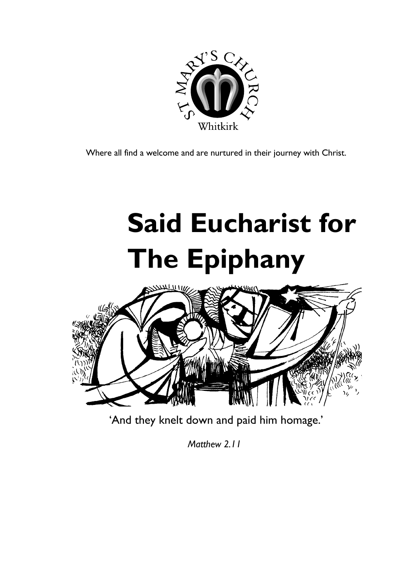

Where all find a welcome and are nurtured in their journey with Christ.

# **Said Eucharist for The Epiphany**



'And they knelt down and paid him homage.'

 *Matthew 2.11*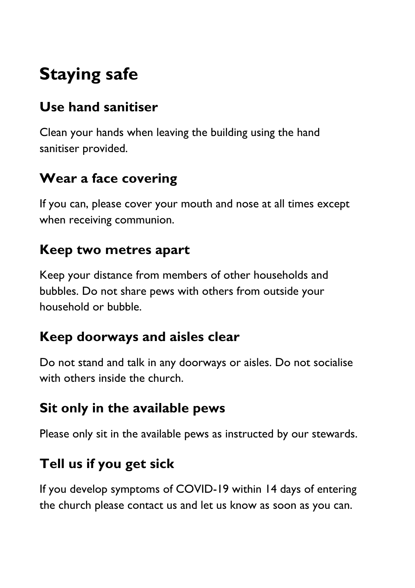# **Staying safe**

## **Use hand sanitiser**

Clean your hands when leaving the building using the hand sanitiser provided.

## **Wear a face covering**

If you can, please cover your mouth and nose at all times except when receiving communion.

#### **Keep two metres apart**

Keep your distance from members of other households and bubbles. Do not share pews with others from outside your household or bubble.

#### **Keep doorways and aisles clear**

Do not stand and talk in any doorways or aisles. Do not socialise with others inside the church.

## **Sit only in the available pews**

Please only sit in the available pews as instructed by our stewards.

# **Tell us if you get sick**

If you develop symptoms of COVID-19 within 14 days of entering the church please contact us and let us know as soon as you can.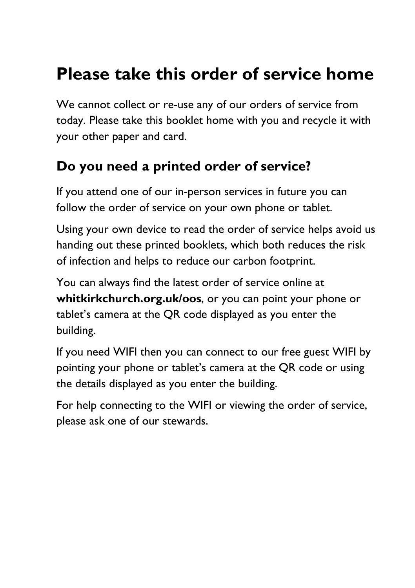# **Please take this order of service home**

We cannot collect or re-use any of our orders of service from today. Please take this booklet home with you and recycle it with your other paper and card.

#### **Do you need a printed order of service?**

If you attend one of our in-person services in future you can follow the order of service on your own phone or tablet.

Using your own device to read the order of service helps avoid us handing out these printed booklets, which both reduces the risk of infection and helps to reduce our carbon footprint.

You can always find the latest order of service online at **whitkirkchurch.org.uk/oos**, or you can point your phone or tablet's camera at the QR code displayed as you enter the building.

If you need WIFI then you can connect to our free guest WIFI by pointing your phone or tablet's camera at the QR code or using the details displayed as you enter the building.

For help connecting to the WIFI or viewing the order of service, please ask one of our stewards.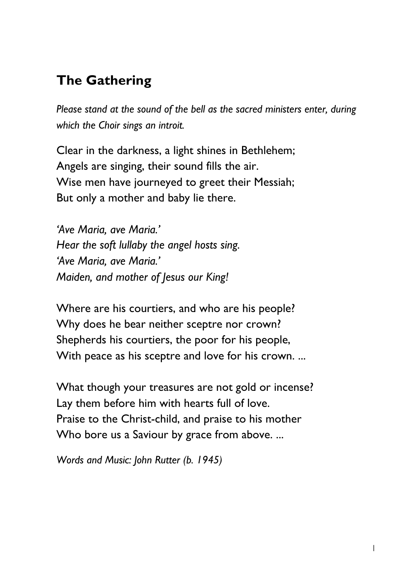# **The Gathering**

*Please stand at the sound of the bell as the sacred ministers enter, during which the Choir sings an introit.*

Clear in the darkness, a light shines in Bethlehem; Angels are singing, their sound fills the air. Wise men have journeyed to greet their Messiah; But only a mother and baby lie there.

*'Ave Maria, ave Maria.' Hear the soft lullaby the angel hosts sing. 'Ave Maria, ave Maria.' Maiden, and mother of Jesus our King!*

Where are his courtiers, and who are his people? Why does he bear neither sceptre nor crown? Shepherds his courtiers, the poor for his people, With peace as his sceptre and love for his crown. ...

What though your treasures are not gold or incense? Lay them before him with hearts full of love. Praise to the Christ-child, and praise to his mother Who bore us a Saviour by grace from above. ...

*Words and Music: John Rutter (b. 1945)*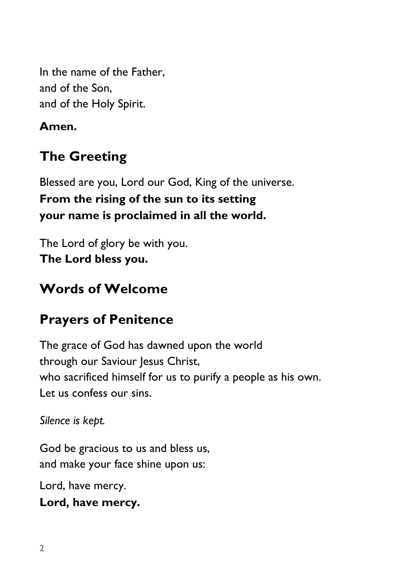In the name of the Father, and of the Son, and of the Holy Spirit.

#### **Amen.**

# **The Greeting**

Blessed are you, Lord our God, King of the universe. **From the rising of the sun to its setting your name is proclaimed in all the world.**

The Lord of glory be with you. **The Lord bless you.** 

#### **Words of Welcome**

#### **Prayers of Penitence**

The grace of God has dawned upon the world through our Saviour Jesus Christ, who sacrificed himself for us to purify a people as his own. Let us confess our sins.

*Silence is kept.*

God be gracious to us and bless us, and make your face shine upon us:

Lord, have mercy.

**Lord, have mercy.**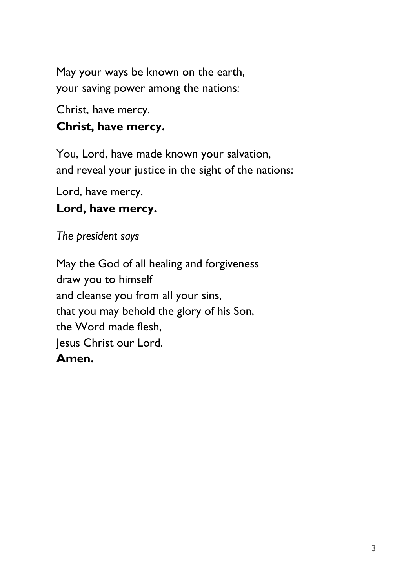May your ways be known on the earth, your saving power among the nations:

Christ, have mercy.

#### **Christ, have mercy.**

You, Lord, have made known your salvation, and reveal your justice in the sight of the nations:

Lord, have mercy.

#### **Lord, have mercy.**

*The president says*

May the God of all healing and forgiveness draw you to himself and cleanse you from all your sins, that you may behold the glory of his Son, the Word made flesh, Jesus Christ our Lord. **Amen.**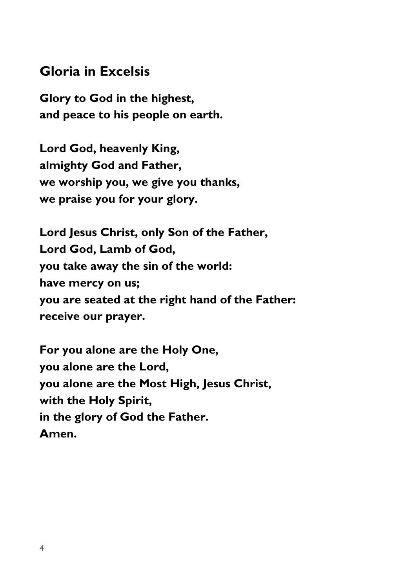#### **Gloria in Excelsis**

**Glory to God in the highest, and peace to his people on earth.**

**Lord God, heavenly King, almighty God and Father, we worship you, we give you thanks, we praise you for your glory.**

**Lord Jesus Christ, only Son of the Father, Lord God, Lamb of God, you take away the sin of the world: have mercy on us; you are seated at the right hand of the Father: receive our prayer.**

**For you alone are the Holy One, you alone are the Lord, you alone are the Most High, Jesus Christ, with the Holy Spirit, in the glory of God the Father. Amen.**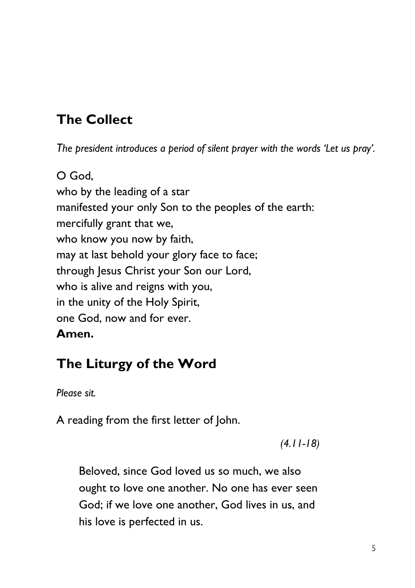# **The Collect**

*The president introduces a period of silent prayer with the words 'Let us pray'.*

O God, who by the leading of a star manifested your only Son to the peoples of the earth: mercifully grant that we, who know you now by faith, may at last behold your glory face to face; through Jesus Christ your Son our Lord, who is alive and reigns with you, in the unity of the Holy Spirit, one God, now and for ever. **Amen.**

#### **The Liturgy of the Word**

*Please sit.*

A reading from the first letter of John.

*(4.11-18)*

Beloved, since God loved us so much, we also ought to love one another. No one has ever seen God; if we love one another, God lives in us, and his love is perfected in us.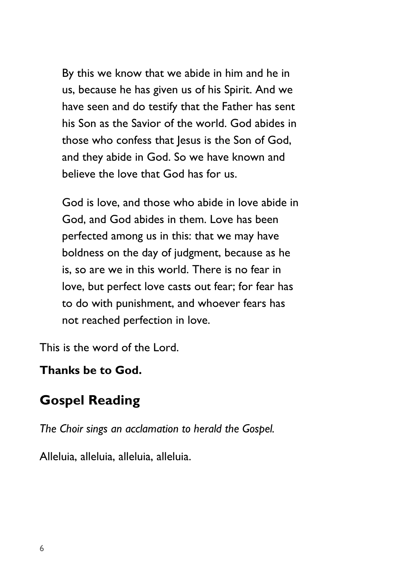By this we know that we abide in him and he in us, because he has given us of his Spirit. And we have seen and do testify that the Father has sent his Son as the Savior of the world. God abides in those who confess that Jesus is the Son of God, and they abide in God. So we have known and believe the love that God has for us.

God is love, and those who abide in love abide in God, and God abides in them. Love has been perfected among us in this: that we may have boldness on the day of judgment, because as he is, so are we in this world. There is no fear in love, but perfect love casts out fear; for fear has to do with punishment, and whoever fears has not reached perfection in love.

This is the word of the Lord.

#### **Thanks be to God.**

#### **Gospel Reading**

*The Choir sings an acclamation to herald the Gospel.* 

Alleluia, alleluia, alleluia, alleluia.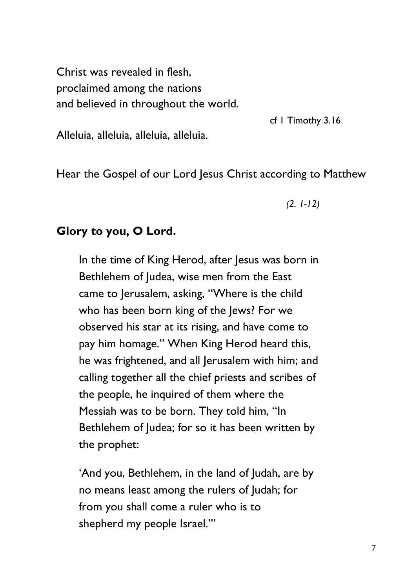Christ was revealed in flesh, proclaimed among the nations and believed in throughout the world.

cf 1 Timothy 3.16

Alleluia, alleluia, alleluia, alleluia.

Hear the Gospel of our Lord Jesus Christ according to Matthew

*(2. 1-12)*

#### **Glory to you, O Lord.**

In the time of King Herod, after Jesus was born in Bethlehem of Judea, wise men from the East came to Jerusalem, asking, "Where is the child who has been born king of the Jews? For we observed his star at its rising, and have come to pay him homage." When King Herod heard this, he was frightened, and all Jerusalem with him; and calling together all the chief priests and scribes of the people, he inquired of them where the Messiah was to be born. They told him, "In Bethlehem of Judea; for so it has been written by the prophet:

'And you, Bethlehem, in the land of Judah, are by no means least among the rulers of Judah; for from you shall come a ruler who is to shepherd my people Israel.'"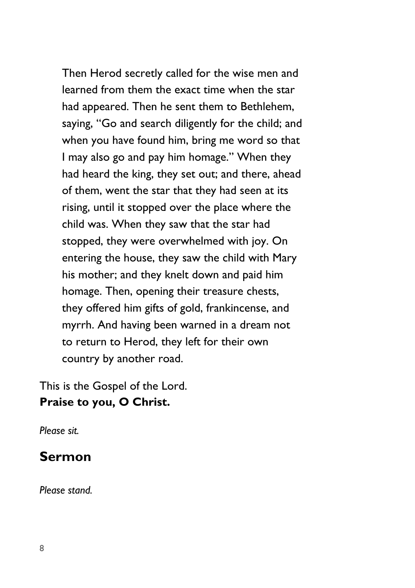Then Herod secretly called for the wise men and learned from them the exact time when the star had appeared. Then he sent them to Bethlehem, saying, "Go and search diligently for the child; and when you have found him, bring me word so that I may also go and pay him homage." When they had heard the king, they set out; and there, ahead of them, went the star that they had seen at its rising, until it stopped over the place where the child was. When they saw that the star had stopped, they were overwhelmed with joy. On entering the house, they saw the child with Mary his mother; and they knelt down and paid him homage. Then, opening their treasure chests, they offered him gifts of gold, frankincense, and myrrh. And having been warned in a dream not to return to Herod, they left for their own country by another road.

This is the Gospel of the Lord. **Praise to you, O Christ.**

*Please sit.*

#### **Sermon**

*Please stand.*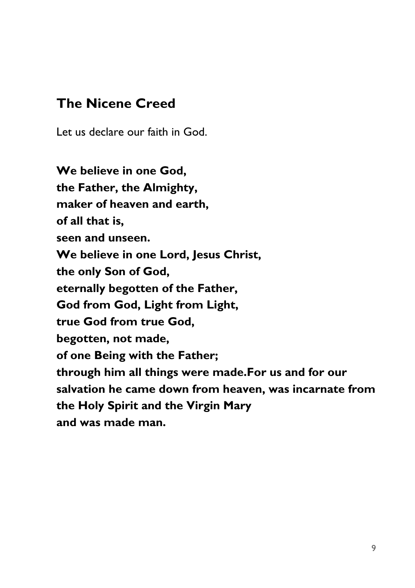#### **The Nicene Creed**

Let us declare our faith in God.

**We believe in one God, the Father, the Almighty, maker of heaven and earth, of all that is, seen and unseen. We believe in one Lord, Jesus Christ, the only Son of God, eternally begotten of the Father, God from God, Light from Light, true God from true God, begotten, not made, of one Being with the Father; through him all things were made.For us and for our salvation he came down from heaven, was incarnate from the Holy Spirit and the Virgin Mary and was made man.**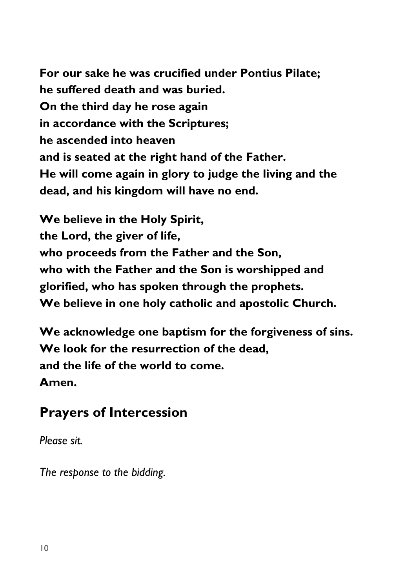**For our sake he was crucified under Pontius Pilate; he suffered death and was buried. On the third day he rose again in accordance with the Scriptures; he ascended into heaven and is seated at the right hand of the Father. He will come again in glory to judge the living and the dead, and his kingdom will have no end.**

**We believe in the Holy Spirit, the Lord, the giver of life, who proceeds from the Father and the Son, who with the Father and the Son is worshipped and glorified, who has spoken through the prophets. We believe in one holy catholic and apostolic Church.**

**We acknowledge one baptism for the forgiveness of sins. We look for the resurrection of the dead, and the life of the world to come. Amen.**

#### **Prayers of Intercession**

*Please sit.*

*The response to the bidding.*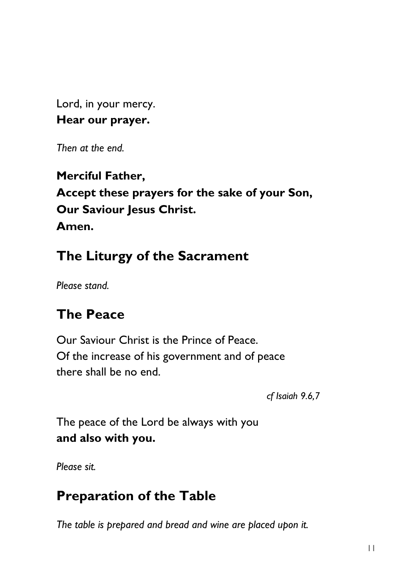Lord, in your mercy. **Hear our prayer.**

*Then at the end.*

#### **Merciful Father, Accept these prayers for the sake of your Son, Our Saviour Jesus Christ. Amen.**

# **The Liturgy of the Sacrament**

*Please stand.*

# **The Peace**

Our Saviour Christ is the Prince of Peace. Of the increase of his government and of peace there shall be no end.

*cf Isaiah 9.6,7*

The peace of the Lord be always with you **and also with you.**

*Please sit.*

# **Preparation of the Table**

*The table is prepared and bread and wine are placed upon it.*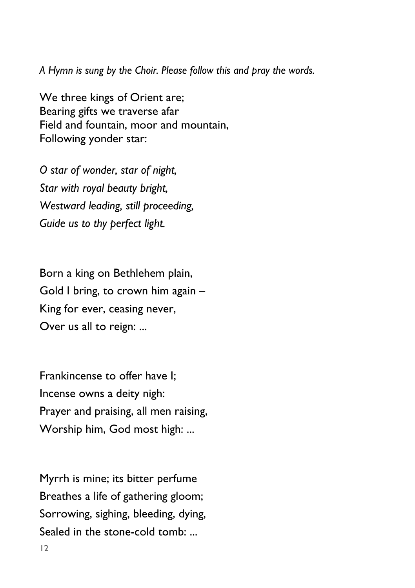*A Hymn is sung by the Choir. Please follow this and pray the words.*

We three kings of Orient are; Bearing gifts we traverse afar Field and fountain, moor and mountain, Following yonder star:

*O star of wonder, star of night, Star with royal beauty bright, Westward leading, still proceeding, Guide us to thy perfect light.*

Born a king on Bethlehem plain, Gold I bring, to crown him again – King for ever, ceasing never, Over us all to reign: ...

Frankincense to offer have I; Incense owns a deity nigh: Prayer and praising, all men raising, Worship him, God most high: ...

Myrrh is mine; its bitter perfume Breathes a life of gathering gloom; Sorrowing, sighing, bleeding, dying, Sealed in the stone-cold tomb: ...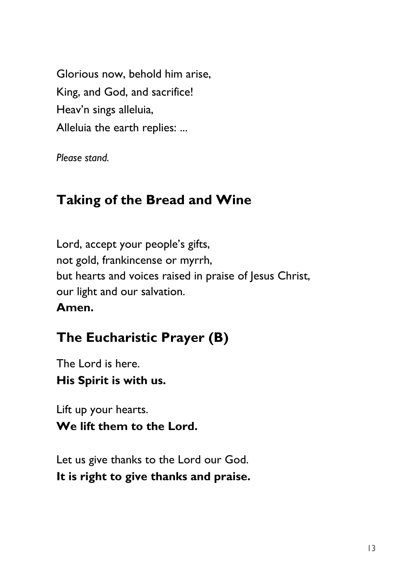Glorious now, behold him arise, King, and God, and sacrifice! Heav'n sings alleluia, Alleluia the earth replies: ...

*Please stand.*

#### **Taking of the Bread and Wine**

Lord, accept your people's gifts, not gold, frankincense or myrrh, but hearts and voices raised in praise of Jesus Christ, our light and our salvation. **Amen.**

## **The Eucharistic Prayer (B)**

The Lord is here. **His Spirit is with us.**

Lift up your hearts. **We lift them to the Lord.**

Let us give thanks to the Lord our God. **It is right to give thanks and praise.**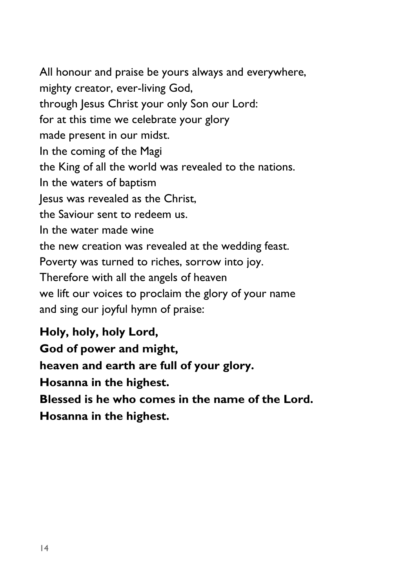All honour and praise be yours always and everywhere, mighty creator, ever-living God, through Jesus Christ your only Son our Lord: for at this time we celebrate your glory made present in our midst. In the coming of the Magi the King of all the world was revealed to the nations. In the waters of baptism Jesus was revealed as the Christ, the Saviour sent to redeem us. In the water made wine the new creation was revealed at the wedding feast. Poverty was turned to riches, sorrow into joy. Therefore with all the angels of heaven we lift our voices to proclaim the glory of your name and sing our joyful hymn of praise:

**Holy, holy, holy Lord, God of power and might, heaven and earth are full of your glory. Hosanna in the highest. Blessed is he who comes in the name of the Lord.**

**Hosanna in the highest.**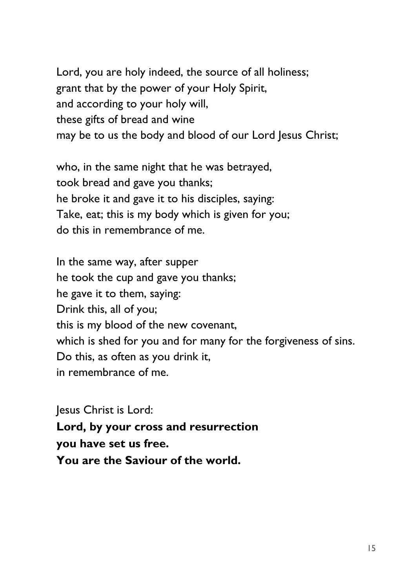Lord, you are holy indeed, the source of all holiness; grant that by the power of your Holy Spirit, and according to your holy will, these gifts of bread and wine may be to us the body and blood of our Lord Jesus Christ;

who, in the same night that he was betrayed, took bread and gave you thanks; he broke it and gave it to his disciples, saying: Take, eat; this is my body which is given for you; do this in remembrance of me.

In the same way, after supper he took the cup and gave you thanks; he gave it to them, saying: Drink this, all of you; this is my blood of the new covenant, which is shed for you and for many for the forgiveness of sins. Do this, as often as you drink it, in remembrance of me.

Jesus Christ is Lord: **Lord, by your cross and resurrection you have set us free. You are the Saviour of the world.**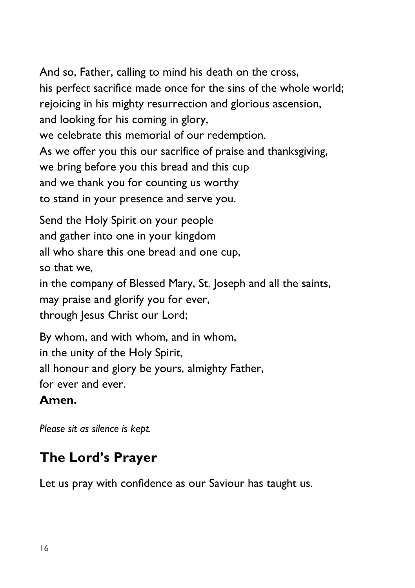And so, Father, calling to mind his death on the cross, his perfect sacrifice made once for the sins of the whole world; rejoicing in his mighty resurrection and glorious ascension, and looking for his coming in glory, we celebrate this memorial of our redemption. As we offer you this our sacrifice of praise and thanksgiving, we bring before you this bread and this cup and we thank you for counting us worthy to stand in your presence and serve you.

Send the Holy Spirit on your people and gather into one in your kingdom all who share this one bread and one cup, so that we, in the company of Blessed Mary, St. Joseph and all the saints, may praise and glorify you for ever, through Jesus Christ our Lord;

By whom, and with whom, and in whom, in the unity of the Holy Spirit, all honour and glory be yours, almighty Father, for ever and ever.

#### **Amen.**

*Please sit as silence is kept.*

# **The Lord's Prayer**

Let us pray with confidence as our Saviour has taught us.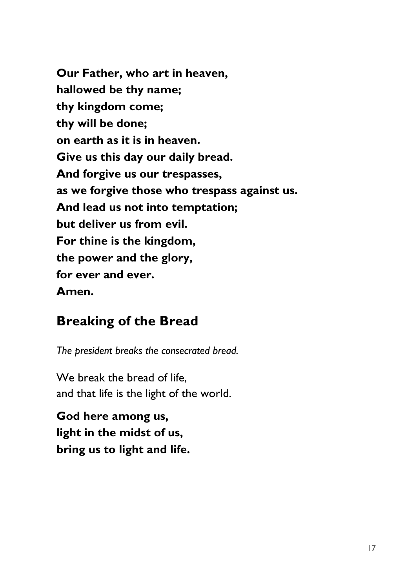**Our Father, who art in heaven, hallowed be thy name; thy kingdom come; thy will be done; on earth as it is in heaven. Give us this day our daily bread. And forgive us our trespasses, as we forgive those who trespass against us. And lead us not into temptation; but deliver us from evil. For thine is the kingdom, the power and the glory, for ever and ever. Amen.**

#### **Breaking of the Bread**

*The president breaks the consecrated bread.*

We break the bread of life. and that life is the light of the world.

**God here among us, light in the midst of us, bring us to light and life.**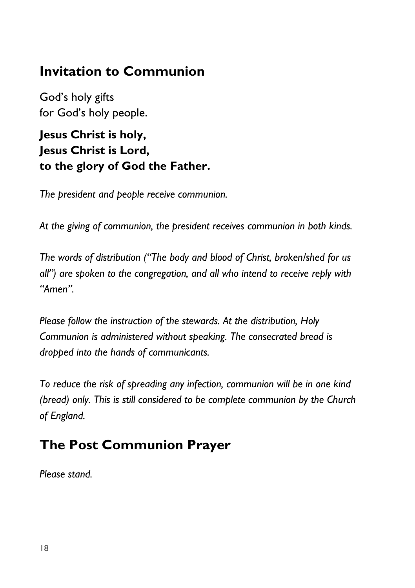#### **Invitation to Communion**

God's holy gifts for God's holy people.

#### **Jesus Christ is holy, Jesus Christ is Lord, to the glory of God the Father.**

*The president and people receive communion.*

*At the giving of communion, the president receives communion in both kinds.*

*The words of distribution ("The body and blood of Christ, broken/shed for us all") are spoken to the congregation, and all who intend to receive reply with "Amen".*

*Please follow the instruction of the stewards. At the distribution, Holy Communion is administered without speaking. The consecrated bread is dropped into the hands of communicants.*

*To reduce the risk of spreading any infection, communion will be in one kind (bread) only. This is still considered to be complete communion by the Church of England.*

#### **The Post Communion Prayer**

*Please stand.*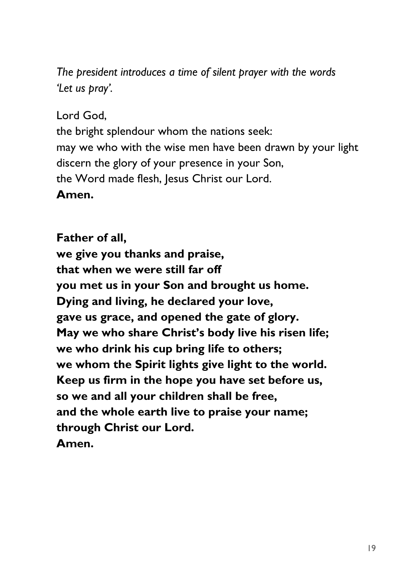*The president introduces a time of silent prayer with the words 'Let us pray'.*

Lord God,

the bright splendour whom the nations seek: may we who with the wise men have been drawn by your light discern the glory of your presence in your Son, the Word made flesh, Jesus Christ our Lord.

#### **Amen.**

**Father of all, we give you thanks and praise, that when we were still far off you met us in your Son and brought us home. Dying and living, he declared your love, gave us grace, and opened the gate of glory. May we who share Christ's body live his risen life; we who drink his cup bring life to others; we whom the Spirit lights give light to the world. Keep us firm in the hope you have set before us, so we and all your children shall be free, and the whole earth live to praise your name; through Christ our Lord. Amen.**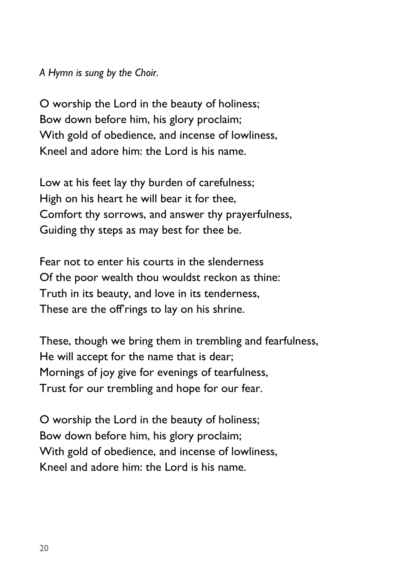*A Hymn is sung by the Choir.*

O worship the Lord in the beauty of holiness; Bow down before him, his glory proclaim; With gold of obedience, and incense of lowliness, Kneel and adore him: the Lord is his name.

Low at his feet lay thy burden of carefulness; High on his heart he will bear it for thee, Comfort thy sorrows, and answer thy prayerfulness, Guiding thy steps as may best for thee be.

Fear not to enter his courts in the slenderness Of the poor wealth thou wouldst reckon as thine: Truth in its beauty, and love in its tenderness, These are the off rings to lay on his shrine.

These, though we bring them in trembling and fearfulness, He will accept for the name that is dear; Mornings of joy give for evenings of tearfulness, Trust for our trembling and hope for our fear.

O worship the Lord in the beauty of holiness; Bow down before him, his glory proclaim; With gold of obedience, and incense of lowliness, Kneel and adore him: the Lord is his name.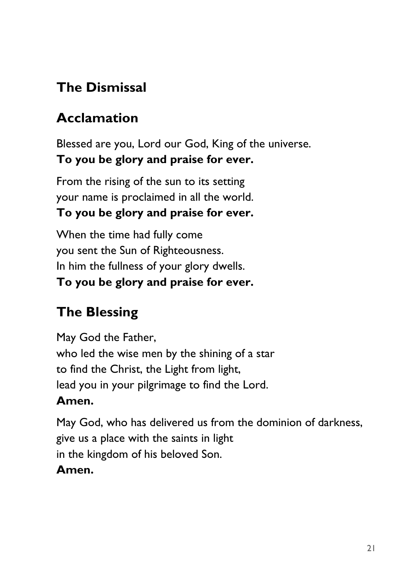# **The Dismissal**

# **Acclamation**

Blessed are you, Lord our God, King of the universe. **To you be glory and praise for ever.**

From the rising of the sun to its setting your name is proclaimed in all the world.

#### **To you be glory and praise for ever.**

When the time had fully come you sent the Sun of Righteousness. In him the fullness of your glory dwells. **To you be glory and praise for ever.** 

# **The Blessing**

May God the Father, who led the wise men by the shining of a star to find the Christ, the Light from light, lead you in your pilgrimage to find the Lord.

#### **Amen.**

May God, who has delivered us from the dominion of darkness, give us a place with the saints in light in the kingdom of his beloved Son. **Amen.**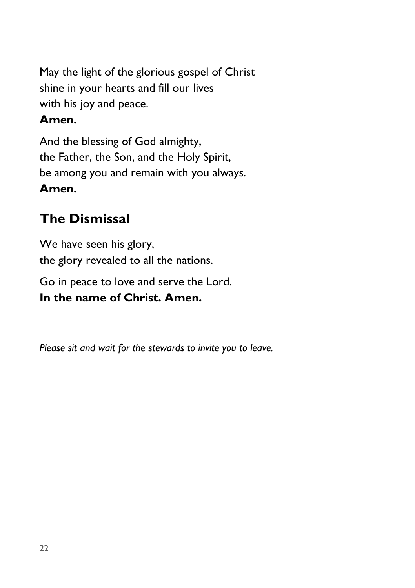May the light of the glorious gospel of Christ shine in your hearts and fill our lives with his joy and peace.

#### **Amen.**

And the blessing of God almighty, the Father, the Son, and the Holy Spirit, be among you and remain with you always. **Amen.**

# **The Dismissal**

We have seen his glory, the glory revealed to all the nations.

Go in peace to love and serve the Lord. **In the name of Christ. Amen.**

*Please sit and wait for the stewards to invite you to leave.*